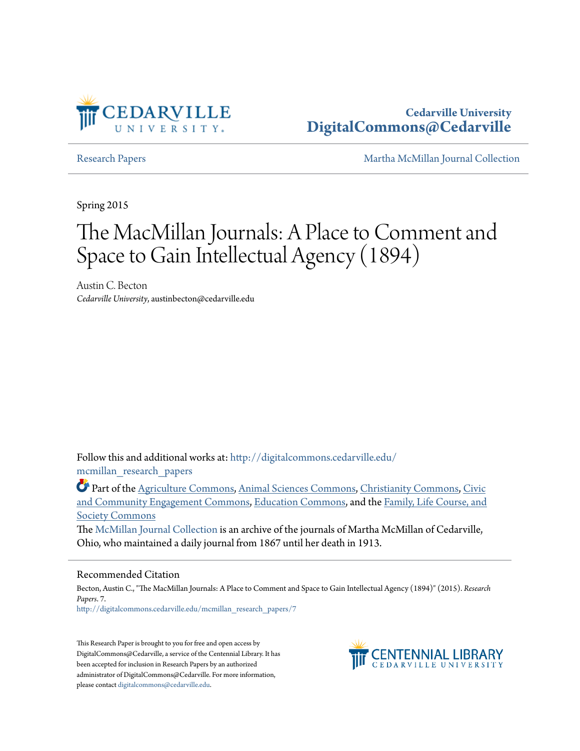

## **Cedarville University [DigitalCommons@Cedarville](http://digitalcommons.cedarville.edu?utm_source=digitalcommons.cedarville.edu%2Fmcmillan_research_papers%2F7&utm_medium=PDF&utm_campaign=PDFCoverPages)**

[Research Papers](http://digitalcommons.cedarville.edu/mcmillan_research_papers?utm_source=digitalcommons.cedarville.edu%2Fmcmillan_research_papers%2F7&utm_medium=PDF&utm_campaign=PDFCoverPages) [Martha McMillan Journal Collection](http://digitalcommons.cedarville.edu/mcmillan_journal_collection?utm_source=digitalcommons.cedarville.edu%2Fmcmillan_research_papers%2F7&utm_medium=PDF&utm_campaign=PDFCoverPages)

Spring 2015

# The MacMillan Journals: A Place to Comment and Space to Gain Intellectual Agency (1894)

Austin C. Becton *Cedarville University*, austinbecton@cedarville.edu

Follow this and additional works at: [http://digitalcommons.cedarville.edu/](http://digitalcommons.cedarville.edu/mcmillan_research_papers?utm_source=digitalcommons.cedarville.edu%2Fmcmillan_research_papers%2F7&utm_medium=PDF&utm_campaign=PDFCoverPages) [mcmillan\\_research\\_papers](http://digitalcommons.cedarville.edu/mcmillan_research_papers?utm_source=digitalcommons.cedarville.edu%2Fmcmillan_research_papers%2F7&utm_medium=PDF&utm_campaign=PDFCoverPages)

Part of the [Agriculture Commons](http://network.bepress.com/hgg/discipline/1076?utm_source=digitalcommons.cedarville.edu%2Fmcmillan_research_papers%2F7&utm_medium=PDF&utm_campaign=PDFCoverPages), [Animal Sciences Commons,](http://network.bepress.com/hgg/discipline/76?utm_source=digitalcommons.cedarville.edu%2Fmcmillan_research_papers%2F7&utm_medium=PDF&utm_campaign=PDFCoverPages) [Christianity Commons](http://network.bepress.com/hgg/discipline/1181?utm_source=digitalcommons.cedarville.edu%2Fmcmillan_research_papers%2F7&utm_medium=PDF&utm_campaign=PDFCoverPages), [Civic](http://network.bepress.com/hgg/discipline/1028?utm_source=digitalcommons.cedarville.edu%2Fmcmillan_research_papers%2F7&utm_medium=PDF&utm_campaign=PDFCoverPages) [and Community Engagement Commons,](http://network.bepress.com/hgg/discipline/1028?utm_source=digitalcommons.cedarville.edu%2Fmcmillan_research_papers%2F7&utm_medium=PDF&utm_campaign=PDFCoverPages) [Education Commons,](http://network.bepress.com/hgg/discipline/784?utm_source=digitalcommons.cedarville.edu%2Fmcmillan_research_papers%2F7&utm_medium=PDF&utm_campaign=PDFCoverPages) and the [Family, Life Course, and](http://network.bepress.com/hgg/discipline/419?utm_source=digitalcommons.cedarville.edu%2Fmcmillan_research_papers%2F7&utm_medium=PDF&utm_campaign=PDFCoverPages) [Society Commons](http://network.bepress.com/hgg/discipline/419?utm_source=digitalcommons.cedarville.edu%2Fmcmillan_research_papers%2F7&utm_medium=PDF&utm_campaign=PDFCoverPages)

The [McMillan Journal Collection](http://digitalcommons.cedarville.edu/mcmillan_journal_collection/) is an archive of the journals of Martha McMillan of Cedarville, Ohio, who maintained a daily journal from 1867 until her death in 1913.

#### Recommended Citation

Becton, Austin C., "The MacMillan Journals: A Place to Comment and Space to Gain Intellectual Agency (1894)" (2015). *Research Papers*. 7. [http://digitalcommons.cedarville.edu/mcmillan\\_research\\_papers/7](http://digitalcommons.cedarville.edu/mcmillan_research_papers/7?utm_source=digitalcommons.cedarville.edu%2Fmcmillan_research_papers%2F7&utm_medium=PDF&utm_campaign=PDFCoverPages)

This Research Paper is brought to you for free and open access by DigitalCommons@Cedarville, a service of the Centennial Library. It has been accepted for inclusion in Research Papers by an authorized administrator of DigitalCommons@Cedarville. For more information, please contact [digitalcommons@cedarville.edu.](mailto:digitalcommons@cedarville.edu)

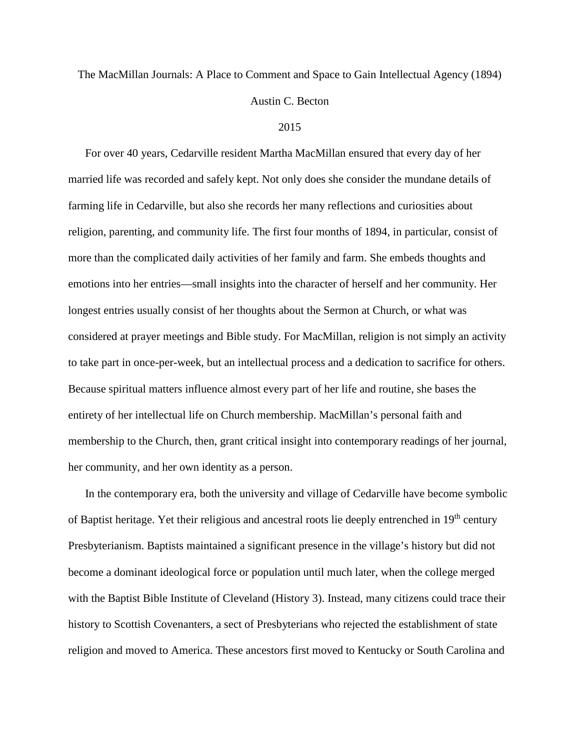# The MacMillan Journals: A Place to Comment and Space to Gain Intellectual Agency (1894) Austin C. Becton

#### 2015

For over 40 years, Cedarville resident Martha MacMillan ensured that every day of her married life was recorded and safely kept. Not only does she consider the mundane details of farming life in Cedarville, but also she records her many reflections and curiosities about religion, parenting, and community life. The first four months of 1894, in particular, consist of more than the complicated daily activities of her family and farm. She embeds thoughts and emotions into her entries—small insights into the character of herself and her community. Her longest entries usually consist of her thoughts about the Sermon at Church, or what was considered at prayer meetings and Bible study. For MacMillan, religion is not simply an activity to take part in once-per-week, but an intellectual process and a dedication to sacrifice for others. Because spiritual matters influence almost every part of her life and routine, she bases the entirety of her intellectual life on Church membership. MacMillan's personal faith and membership to the Church, then, grant critical insight into contemporary readings of her journal, her community, and her own identity as a person.

In the contemporary era, both the university and village of Cedarville have become symbolic of Baptist heritage. Yet their religious and ancestral roots lie deeply entrenched in 19<sup>th</sup> century Presbyterianism. Baptists maintained a significant presence in the village's history but did not become a dominant ideological force or population until much later, when the college merged with the Baptist Bible Institute of Cleveland (History 3). Instead, many citizens could trace their history to Scottish Covenanters, a sect of Presbyterians who rejected the establishment of state religion and moved to America. These ancestors first moved to Kentucky or South Carolina and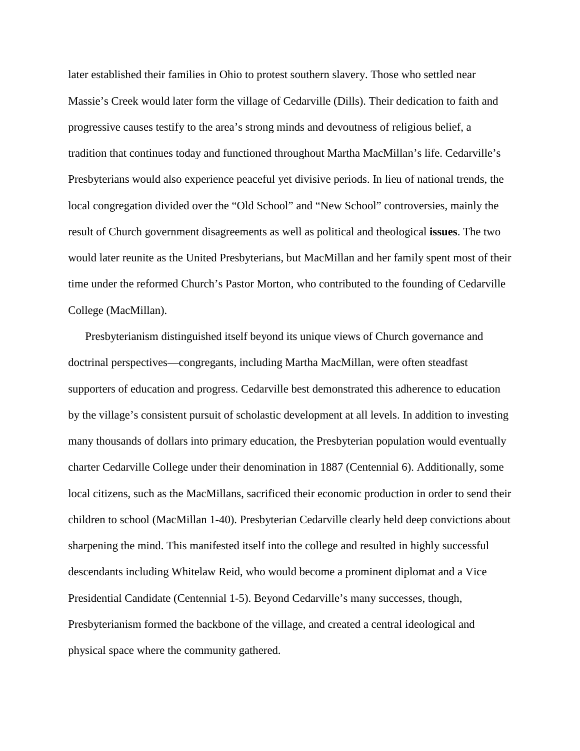later established their families in Ohio to protest southern slavery. Those who settled near Massie's Creek would later form the village of Cedarville (Dills). Their dedication to faith and progressive causes testify to the area's strong minds and devoutness of religious belief, a tradition that continues today and functioned throughout Martha MacMillan's life. Cedarville's Presbyterians would also experience peaceful yet divisive periods. In lieu of national trends, the local congregation divided over the "Old School" and "New School" controversies, mainly the result of Church government disagreements as well as political and theological **issues**. The two would later reunite as the United Presbyterians, but MacMillan and her family spent most of their time under the reformed Church's Pastor Morton, who contributed to the founding of Cedarville College (MacMillan).

Presbyterianism distinguished itself beyond its unique views of Church governance and doctrinal perspectives—congregants, including Martha MacMillan, were often steadfast supporters of education and progress. Cedarville best demonstrated this adherence to education by the village's consistent pursuit of scholastic development at all levels. In addition to investing many thousands of dollars into primary education, the Presbyterian population would eventually charter Cedarville College under their denomination in 1887 (Centennial 6). Additionally, some local citizens, such as the MacMillans, sacrificed their economic production in order to send their children to school (MacMillan 1-40). Presbyterian Cedarville clearly held deep convictions about sharpening the mind. This manifested itself into the college and resulted in highly successful descendants including Whitelaw Reid, who would become a prominent diplomat and a Vice Presidential Candidate (Centennial 1-5). Beyond Cedarville's many successes, though, Presbyterianism formed the backbone of the village, and created a central ideological and physical space where the community gathered.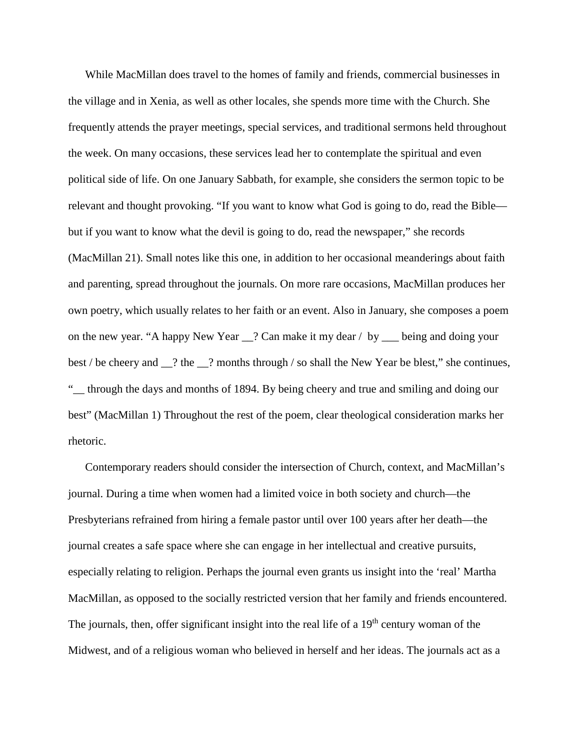While MacMillan does travel to the homes of family and friends, commercial businesses in the village and in Xenia, as well as other locales, she spends more time with the Church. She frequently attends the prayer meetings, special services, and traditional sermons held throughout the week. On many occasions, these services lead her to contemplate the spiritual and even political side of life. On one January Sabbath, for example, she considers the sermon topic to be relevant and thought provoking. "If you want to know what God is going to do, read the Bible but if you want to know what the devil is going to do, read the newspaper," she records (MacMillan 21). Small notes like this one, in addition to her occasional meanderings about faith and parenting, spread throughout the journals. On more rare occasions, MacMillan produces her own poetry, which usually relates to her faith or an event. Also in January, she composes a poem on the new year. "A happy New Year \_\_? Can make it my dear / by \_\_\_ being and doing your best / be cheery and \_\_? the \_\_? months through / so shall the New Year be blest," she continues, "\_\_ through the days and months of 1894. By being cheery and true and smiling and doing our best" (MacMillan 1) Throughout the rest of the poem, clear theological consideration marks her rhetoric.

Contemporary readers should consider the intersection of Church, context, and MacMillan's journal. During a time when women had a limited voice in both society and church—the Presbyterians refrained from hiring a female pastor until over 100 years after her death—the journal creates a safe space where she can engage in her intellectual and creative pursuits, especially relating to religion. Perhaps the journal even grants us insight into the 'real' Martha MacMillan, as opposed to the socially restricted version that her family and friends encountered. The journals, then, offer significant insight into the real life of a 19<sup>th</sup> century woman of the Midwest, and of a religious woman who believed in herself and her ideas. The journals act as a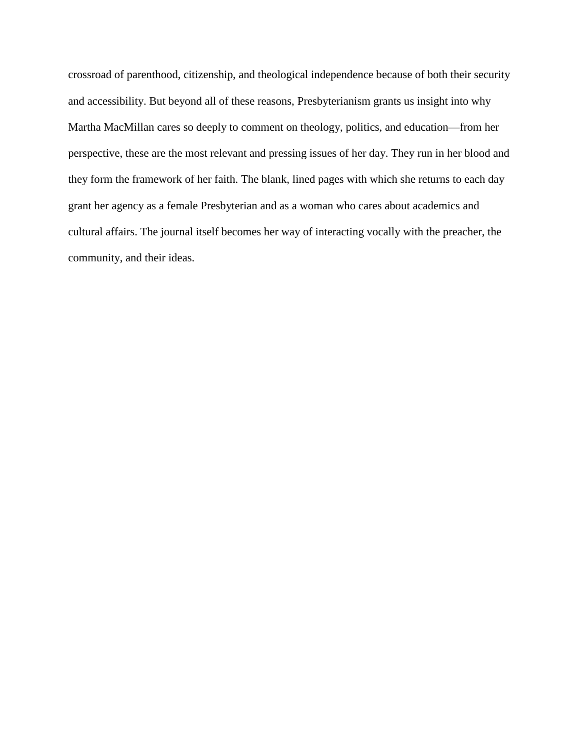crossroad of parenthood, citizenship, and theological independence because of both their security and accessibility. But beyond all of these reasons, Presbyterianism grants us insight into why Martha MacMillan cares so deeply to comment on theology, politics, and education—from her perspective, these are the most relevant and pressing issues of her day. They run in her blood and they form the framework of her faith. The blank, lined pages with which she returns to each day grant her agency as a female Presbyterian and as a woman who cares about academics and cultural affairs. The journal itself becomes her way of interacting vocally with the preacher, the community, and their ideas.